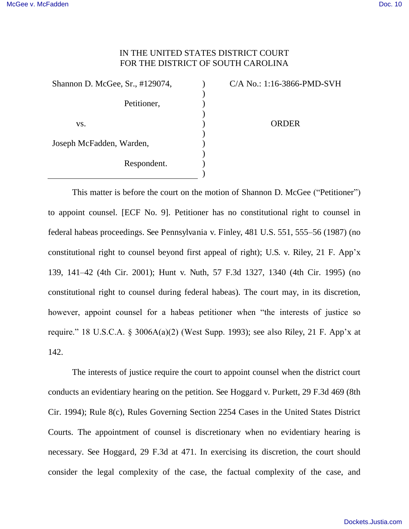## IN THE UNITED STATES DISTRICT COURT FOR THE DISTRICT OF SOUTH CAROLINA

| Shannon D. McGee, Sr., #129074, |  |
|---------------------------------|--|
|                                 |  |
| Petitioner,                     |  |
|                                 |  |
| VS.                             |  |
|                                 |  |
| Joseph McFadden, Warden,        |  |
|                                 |  |
| Respondent.                     |  |
|                                 |  |

C/A No.: 1:16-3866-PMD-SVH ORDER

 This matter is before the court on the motion of Shannon D. McGee ("Petitioner") to appoint counsel. [ECF No. 9]. Petitioner has no constitutional right to counsel in federal habeas proceedings. See Pennsylvania v. Finley, 481 U.S. 551, 555–56 (1987) (no constitutional right to counsel beyond first appeal of right); U.S. v. Riley, 21 F. App'x 139, 141–42 (4th Cir. 2001); Hunt v. Nuth, 57 F.3d 1327, 1340 (4th Cir. 1995) (no constitutional right to counsel during federal habeas). The court may, in its discretion, however, appoint counsel for a habeas petitioner when "the interests of justice so require." 18 U.S.C.A. § 3006A(a)(2) (West Supp. 1993); see also Riley, 21 F. App'x at 142.

 The interests of justice require the court to appoint counsel when the district court conducts an evidentiary hearing on the petition. See Hoggard v. Purkett, 29 F.3d 469 (8th Cir. 1994); Rule 8(c), Rules Governing Section 2254 Cases in the United States District Courts. The appointment of counsel is discretionary when no evidentiary hearing is necessary. See Hoggard, 29 F.3d at 471. In exercising its discretion, the court should consider the legal complexity of the case, the factual complexity of the case, and